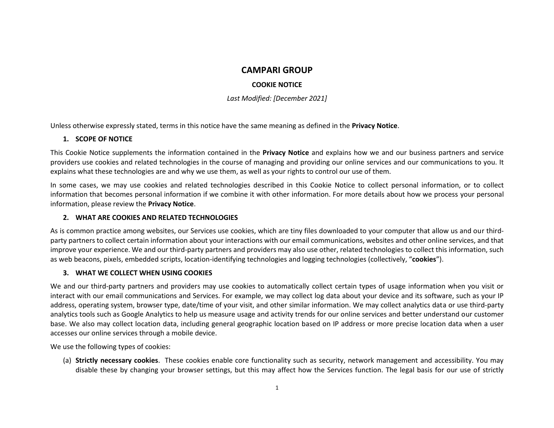### **CAMPARI GROUP**

### **COOKIE NOTICE**

*Last Modified: [December 2021]*

Unless otherwise expressly stated, terms in this notice have the same meaning as defined in the **Privacy Notice**.

## **1. SCOPE OF NOTICE**

This Cookie Notice supplements the information contained in the **Privacy Notice** and explains how we and our business partners and service providers use cookies and related technologies in the course of managing and providing our online services and our communications to you. It explains what these technologies are and why we use them, as well as your rights to control our use of them.

In some cases, we may use cookies and related technologies described in this Cookie Notice to collect personal information, or to collect information that becomes personal information if we combine it with other information. For more details about how we process your personal information, please review the **Privacy Notice**.

# **2. WHAT ARE COOKIES AND RELATED TECHNOLOGIES**

As is common practice among websites, our Services use cookies, which are tiny files downloaded to your computer that allow us and our thirdparty partners to collect certain information about your interactions with our email communications, websites and other online services, and that improve your experience. We and our third-party partners and providers may also use other, related technologies to collect this information, such as web beacons, pixels, embedded scripts, location-identifying technologies and logging technologies (collectively, "**cookies**").

# **3. WHAT WE COLLECT WHEN USING COOKIES**

We and our third-party partners and providers may use cookies to automatically collect certain types of usage information when you visit or interact with our email communications and Services. For example, we may collect log data about your device and its software, such as your IP address, operating system, browser type, date/time of your visit, and other similar information. We may collect analytics data or use third-party analytics tools such as Google Analytics to help us measure usage and activity trends for our online services and better understand our customer base. We also may collect location data, including general geographic location based on IP address or more precise location data when a user accesses our online services through a mobile device.

We use the following types of cookies:

(a) **Strictly necessary cookies**. These cookies enable core functionality such as security, network management and accessibility. You may disable these by changing your browser settings, but this may affect how the Services function. The legal basis for our use of strictly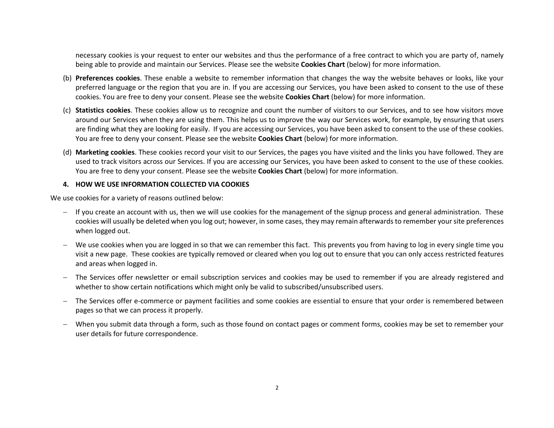necessary cookies is your request to enter our websites and thus the performance of a free contract to which you are party of, namely being able to provide and maintain our Services. Please see the website **Cookies Chart** (below) for more information.

- (b) **Preferences cookies**. These enable a website to remember information that changes the way the website behaves or looks, like your preferred language or the region that you are in. If you are accessing our Services, you have been asked to consent to the use of these cookies. You are free to deny your consent. Please see the website **Cookies Chart** (below) for more information.
- (c) **Statistics cookies**. These cookies allow us to recognize and count the number of visitors to our Services, and to see how visitors move around our Services when they are using them. This helps us to improve the way our Services work, for example, by ensuring that users are finding what they are looking for easily. If you are accessing our Services, you have been asked to consent to the use of these cookies. You are free to deny your consent. Please see the website **Cookies Chart** (below) for more information.
- (d) **Marketing cookies**. These cookies record your visit to our Services, the pages you have visited and the links you have followed. They are used to track visitors across our Services. If you are accessing our Services, you have been asked to consent to the use of these cookies. You are free to deny your consent. Please see the website **Cookies Chart** (below) for more information.

#### **4. HOW WE USE INFORMATION COLLECTED VIA COOKIES**

We use cookies for a variety of reasons outlined below:

- $-$  If you create an account with us, then we will use cookies for the management of the signup process and general administration. These cookies will usually be deleted when you log out; however, in some cases, they may remain afterwards to remember your site preferences when logged out.
- We use cookies when you are logged in so that we can remember this fact. This prevents you from having to log in every single time you visit a new page. These cookies are typically removed or cleared when you log out to ensure that you can only access restricted features and areas when logged in.
- The Services offer newsletter or email subscription services and cookies may be used to remember if you are already registered and whether to show certain notifications which might only be valid to subscribed/unsubscribed users.
- The Services offer e-commerce or payment facilities and some cookies are essential to ensure that your order is remembered between pages so that we can process it properly.
- When you submit data through a form, such as those found on contact pages or comment forms, cookies may be set to remember your user details for future correspondence.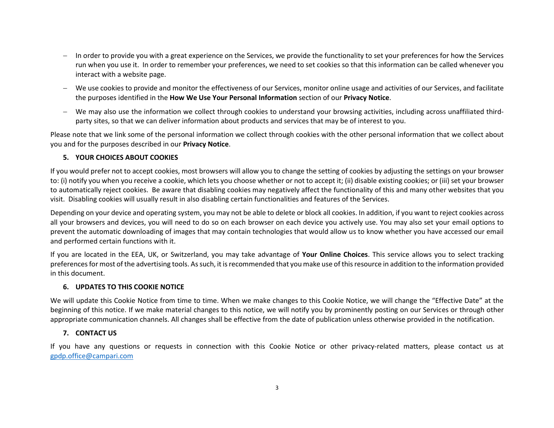- $-$  In order to provide you with a great experience on the Services, we provide the functionality to set your preferences for how the Services run when you use it. In order to remember your preferences, we need to set cookies so that this information can be called whenever you interact with a website page.
- We use cookies to provide and monitor the effectiveness of our Services, monitor online usage and activities of our Services, and facilitate the purposes identified in the **How We Use Your Personal Information** section of our **Privacy Notice**.
- We may also use the information we collect through cookies to understand your browsing activities, including across unaffiliated thirdparty sites, so that we can deliver information about products and services that may be of interest to you.

Please note that we link some of the personal information we collect through cookies with the other personal information that we collect about you and for the purposes described in our **Privacy Notice**.

### **5. YOUR CHOICES ABOUT COOKIES**

If you would prefer not to accept cookies, most browsers will allow you to change the setting of cookies by adjusting the settings on your browser to: (i) notify you when you receive a cookie, which lets you choose whether or not to accept it; (ii) disable existing cookies; or (iii) set your browser to automatically reject cookies. Be aware that disabling cookies may negatively affect the functionality of this and many other websites that you visit. Disabling cookies will usually result in also disabling certain functionalities and features of the Services.

Depending on your device and operating system, you may not be able to delete or block all cookies. In addition, if you want to reject cookies across all your browsers and devices, you will need to do so on each browser on each device you actively use. You may also set your email options to prevent the automatic downloading of images that may contain technologies that would allow us to know whether you have accessed our email and performed certain functions with it.

If you are located in the EEA, UK, or Switzerland, you may take advantage of **Your Online Choices**. This service allows you to select tracking preferences for most of the advertising tools. As such, it is recommended that you make use of this resource in addition to the information provided in this document.

### **6. UPDATES TO THIS COOKIE NOTICE**

We will update this Cookie Notice from time to time. When we make changes to this Cookie Notice, we will change the "Effective Date" at the beginning of this notice. If we make material changes to this notice, we will notify you by prominently posting on our Services or through other appropriate communication channels. All changes shall be effective from the date of publication unless otherwise provided in the notification.

### **7. CONTACT US**

If you have any questions or requests in connection with this Cookie Notice or other privacy-related matters, please contact us at [gpdp.office@campari.com](mailto:gpdp.office@campari.com)